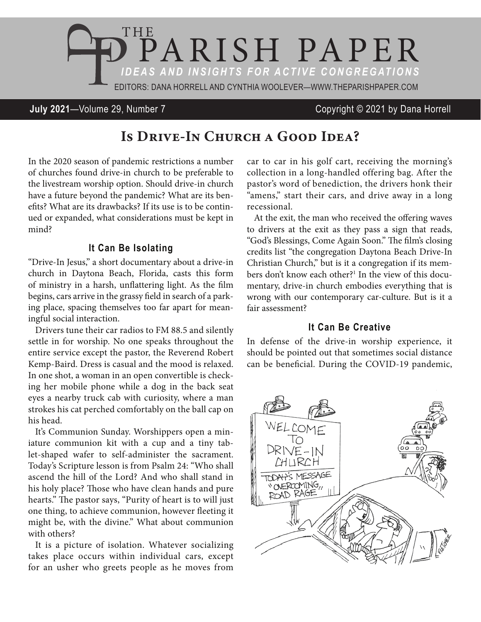

**July 2021**—Volume 29, Number 7 Copyright © 2021 by Dana Horrell

# IS DRIVE-IN CHURCH A GOOD IDEA?

In the 2020 season of pandemic restrictions a number of churches found drive-in church to be preferable to the livestream worship option. Should drive-in church have a future beyond the pandemic? What are its benefits? What are its drawbacks? If its use is to be continued or expanded, what considerations must be kept in mind?

### **It Can Be Isolating**

"Drive-In Jesus," a short documentary about a drive-in church in Daytona Beach, Florida, casts this form of ministry in a harsh, unflattering light. As the film begins, cars arrive in the grassy field in search of a parking place, spacing themselves too far apart for meaningful social interaction.

Drivers tune their car radios to FM 88.5 and silently settle in for worship. No one speaks throughout the entire service except the pastor, the Reverend Robert Kemp-Baird. Dress is casual and the mood is relaxed. In one shot, a woman in an open convertible is checking her mobile phone while a dog in the back seat eyes a nearby truck cab with curiosity, where a man strokes his cat perched comfortably on the ball cap on his head.

It's Communion Sunday. Worshippers open a miniature communion kit with a cup and a tiny tablet-shaped wafer to self-administer the sacrament. Today's Scripture lesson is from Psalm 24: "Who shall ascend the hill of the Lord? And who shall stand in his holy place? Those who have clean hands and pure hearts." The pastor says, "Purity of heart is to will just one thing, to achieve communion, however fleeting it might be, with the divine." What about communion with others?

It is a picture of isolation. Whatever socializing takes place occurs within individual cars, except for an usher who greets people as he moves from

car to car in his golf cart, receiving the morning's collection in a long-handled offering bag. After the pastor's word of benediction, the drivers honk their "amens," start their cars, and drive away in a long recessional.

At the exit, the man who received the offering waves to drivers at the exit as they pass a sign that reads, "God's Blessings, Come Again Soon." The film's closing credits list "the congregation Daytona Beach Drive-In Christian Church," but is it a congregation if its members don't know each other?<sup>1</sup> In the view of this documentary, drive-in church embodies everything that is wrong with our contemporary car-culture. But is it a fair assessment?

#### **It Can Be Creative**

In defense of the drive-in worship experience, it should be pointed out that sometimes social distance can be beneficial. During the COVID-19 pandemic,